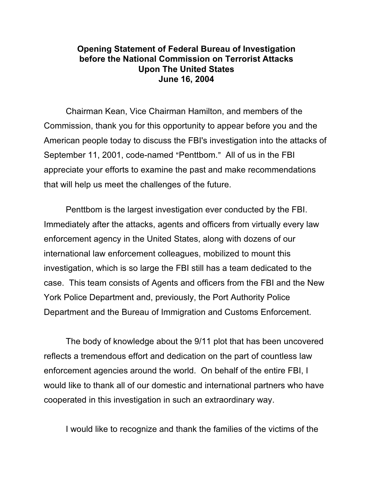## **Opening Statement of Federal Bureau of Investigation before the National Commission on Terrorist Attacks Upon The United States June 16, 2004**

Chairman Kean, Vice Chairman Hamilton, and members of the Commission, thank you for this opportunity to appear before you and the American people today to discuss the FBI's investigation into the attacks of September 11, 2001, code-named "Penttbom." All of us in the FBI appreciate your efforts to examine the past and make recommendations that will help us meet the challenges of the future.

Penttbom is the largest investigation ever conducted by the FBI. Immediately after the attacks, agents and officers from virtually every law enforcement agency in the United States, along with dozens of our international law enforcement colleagues, mobilized to mount this investigation, which is so large the FBI still has a team dedicated to the case. This team consists of Agents and officers from the FBI and the New York Police Department and, previously, the Port Authority Police Department and the Bureau of Immigration and Customs Enforcement.

The body of knowledge about the 9/11 plot that has been uncovered reflects a tremendous effort and dedication on the part of countless law enforcement agencies around the world. On behalf of the entire FBI, I would like to thank all of our domestic and international partners who have cooperated in this investigation in such an extraordinary way.

I would like to recognize and thank the families of the victims of the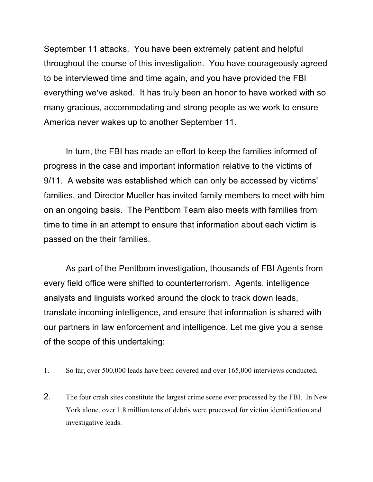September 11 attacks. You have been extremely patient and helpful throughout the course of this investigation. You have courageously agreed to be interviewed time and time again, and you have provided the FBI everything we've asked. It has truly been an honor to have worked with so many gracious, accommodating and strong people as we work to ensure America never wakes up to another September 11.

In turn, the FBI has made an effort to keep the families informed of progress in the case and important information relative to the victims of 9/11. A website was established which can only be accessed by victims' families, and Director Mueller has invited family members to meet with him on an ongoing basis. The Penttbom Team also meets with families from time to time in an attempt to ensure that information about each victim is passed on the their families.

As part of the Penttbom investigation, thousands of FBI Agents from every field office were shifted to counterterrorism. Agents, intelligence analysts and linguists worked around the clock to track down leads, translate incoming intelligence, and ensure that information is shared with our partners in law enforcement and intelligence. Let me give you a sense of the scope of this undertaking:

- 1. So far, over 500,000 leads have been covered and over 165,000 interviews conducted.
- 2. The four crash sites constitute the largest crime scene ever processed by the FBI. In New York alone, over 1.8 million tons of debris were processed for victim identification and investigative leads.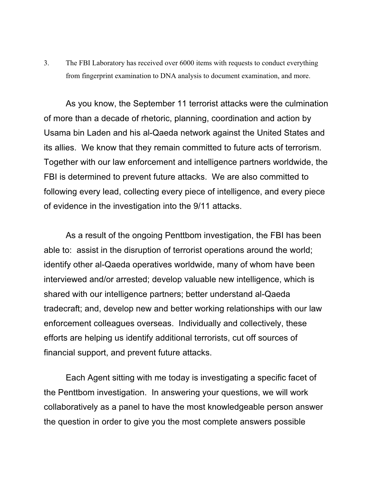3. The FBI Laboratory has received over 6000 items with requests to conduct everything from fingerprint examination to DNA analysis to document examination, and more.

As you know, the September 11 terrorist attacks were the culmination of more than a decade of rhetoric, planning, coordination and action by Usama bin Laden and his al-Qaeda network against the United States and its allies. We know that they remain committed to future acts of terrorism. Together with our law enforcement and intelligence partners worldwide, the FBI is determined to prevent future attacks. We are also committed to following every lead, collecting every piece of intelligence, and every piece of evidence in the investigation into the 9/11 attacks.

As a result of the ongoing Penttbom investigation, the FBI has been able to: assist in the disruption of terrorist operations around the world; identify other al-Qaeda operatives worldwide, many of whom have been interviewed and/or arrested; develop valuable new intelligence, which is shared with our intelligence partners; better understand al-Qaeda tradecraft; and, develop new and better working relationships with our law enforcement colleagues overseas. Individually and collectively, these efforts are helping us identify additional terrorists, cut off sources of financial support, and prevent future attacks.

Each Agent sitting with me today is investigating a specific facet of the Penttbom investigation. In answering your questions, we will work collaboratively as a panel to have the most knowledgeable person answer the question in order to give you the most complete answers possible